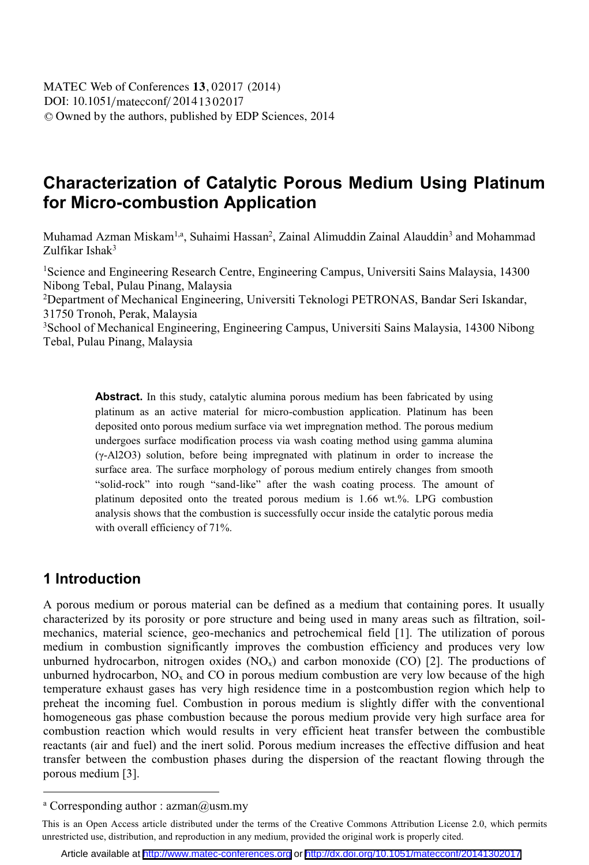# **Characterization of Catalytic Porous Medium Using Platinum for Micro-combustion Application**

Muhamad Azman Miskam<sup>1,a</sup>, Suhaimi Hassan<sup>2</sup>, Zainal Alimuddin Zainal Alauddin<sup>3</sup> and Mohammad Zulfikar Ishak3

<sup>1</sup>Science and Engineering Research Centre, Engineering Campus, Universiti Sains Malaysia, 14300 Nibong Tebal, Pulau Pinang, Malaysia

2 Department of Mechanical Engineering, Universiti Teknologi PETRONAS, Bandar Seri Iskandar, 31750 Tronoh, Perak, Malaysia

3 School of Mechanical Engineering, Engineering Campus, Universiti Sains Malaysia, 14300 Nibong Tebal, Pulau Pinang, Malaysia

> **Abstract.** In this study, catalytic alumina porous medium has been fabricated by using platinum as an active material for micro-combustion application. Platinum has been deposited onto porous medium surface via wet impregnation method. The porous medium undergoes surface modification process via wash coating method using gamma alumina (γ-Al2O3) solution, before being impregnated with platinum in order to increase the surface area. The surface morphology of porous medium entirely changes from smooth "solid-rock" into rough "sand-like" after the wash coating process. The amount of platinum deposited onto the treated porous medium is 1.66 wt.%. LPG combustion analysis shows that the combustion is successfully occur inside the catalytic porous media with overall efficiency of 71%.

### **1 Introduction**

 $\overline{a}$ 

A porous medium or porous material can be defined as a medium that containing pores. It usually characterized by its porosity or pore structure and being used in many areas such as filtration, soilmechanics, material science, geo-mechanics and petrochemical field [1]. The utilization of porous medium in combustion significantly improves the combustion efficiency and produces very low unburned hydrocarbon, nitrogen oxides  $(NO<sub>x</sub>)$  and carbon monoxide  $(CO)$  [2]. The productions of unburned hydrocarbon,  $NO<sub>x</sub>$  and CO in porous medium combustion are very low because of the high temperature exhaust gases has very high residence time in a postcombustion region which help to preheat the incoming fuel. Combustion in porous medium is slightly differ with the conventional homogeneous gas phase combustion because the porous medium provide very high surface area for combustion reaction which would results in very efficient heat transfer between the combustible reactants (air and fuel) and the inert solid. Porous medium increases the effective diffusion and heat transfer between the combustion phases during the dispersion of the reactant flowing through the porous medium [3].

a Corresponding author : azman@usm.my

This is an Open Access article distributed under the terms of the Creative Commons Attribution License 2.0, which permits unrestricted use, distribution, and reproduction in any medium, provided the original work is properly cited.

Article available at <http://www.matec-conferences.org> or <http://dx.doi.org/10.1051/matecconf/20141302017>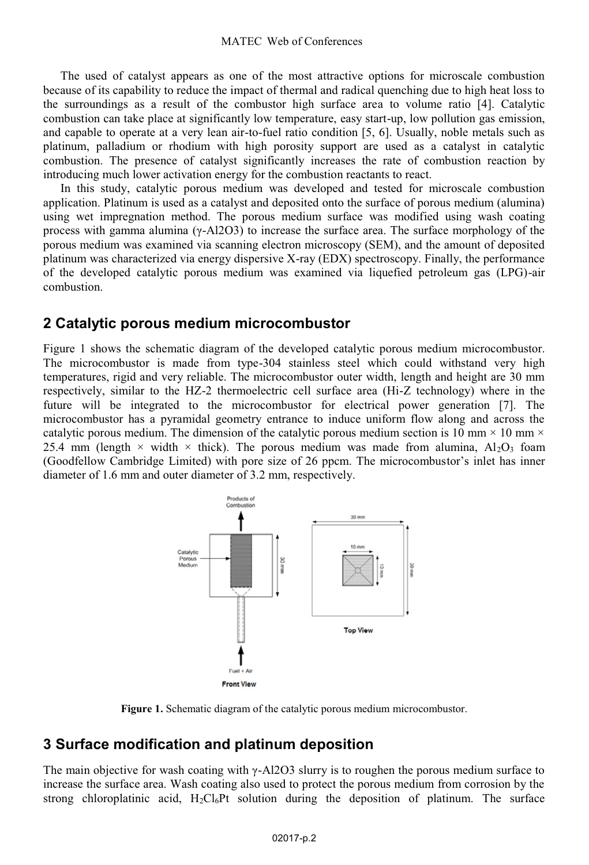The used of catalyst appears as one of the most attractive options for microscale combustion because of its capability to reduce the impact of thermal and radical quenching due to high heat loss to the surroundings as a result of the combustor high surface area to volume ratio [4]. Catalytic combustion can take place at significantly low temperature, easy start-up, low pollution gas emission, and capable to operate at a very lean air-to-fuel ratio condition [5, 6]. Usually, noble metals such as platinum, palladium or rhodium with high porosity support are used as a catalyst in catalytic combustion. The presence of catalyst significantly increases the rate of combustion reaction by introducing much lower activation energy for the combustion reactants to react.

In this study, catalytic porous medium was developed and tested for microscale combustion application. Platinum is used as a catalyst and deposited onto the surface of porous medium (alumina) using wet impregnation method. The porous medium surface was modified using wash coating process with gamma alumina ( $γ$ -Al2O3) to increase the surface area. The surface morphology of the porous medium was examined via scanning electron microscopy (SEM), and the amount of deposited platinum was characterized via energy dispersive X-ray (EDX) spectroscopy. Finally, the performance of the developed catalytic porous medium was examined via liquefied petroleum gas (LPG)-air combustion.

#### **2 Catalytic porous medium microcombustor**

Figure 1 shows the schematic diagram of the developed catalytic porous medium microcombustor. The microcombustor is made from type-304 stainless steel which could withstand very high temperatures, rigid and very reliable. The microcombustor outer width, length and height are 30 mm respectively, similar to the HZ-2 thermoelectric cell surface area (Hi-Z technology) where in the future will be integrated to the microcombustor for electrical power generation [7]. The microcombustor has a pyramidal geometry entrance to induce uniform flow along and across the catalytic porous medium. The dimension of the catalytic porous medium section is 10 mm  $\times$  10 mm  $\times$ 25.4 mm (length  $\times$  width  $\times$  thick). The porous medium was made from alumina, Al<sub>2</sub>O<sub>3</sub> foam (Goodfellow Cambridge Limited) with pore size of 26 ppcm. The microcombustor's inlet has inner diameter of 1.6 mm and outer diameter of 3.2 mm, respectively.



**Figure 1.** Schematic diagram of the catalytic porous medium microcombustor.

### **3 Surface modification and platinum deposition**

The main objective for wash coating with  $\gamma$ -Al2O3 slurry is to roughen the porous medium surface to increase the surface area. Wash coating also used to protect the porous medium from corrosion by the strong chloroplatinic acid,  $H_2Cl_6Pt$  solution during the deposition of platinum. The surface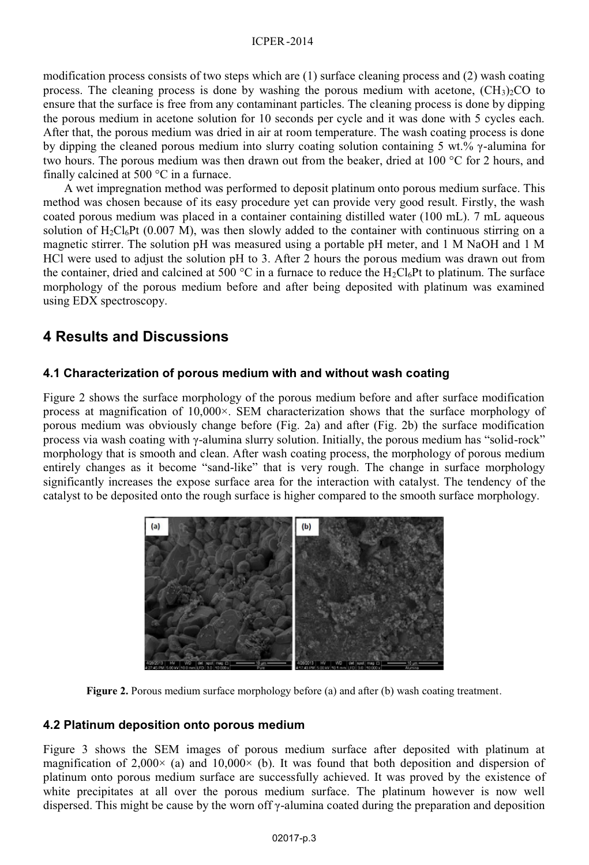modification process consists of two steps which are (1) surface cleaning process and (2) wash coating process. The cleaning process is done by washing the porous medium with acetone,  $(CH<sub>3</sub>)<sub>2</sub>CO$  to ensure that the surface is free from any contaminant particles. The cleaning process is done by dipping the porous medium in acetone solution for 10 seconds per cycle and it was done with 5 cycles each. After that, the porous medium was dried in air at room temperature. The wash coating process is done by dipping the cleaned porous medium into slurry coating solution containing 5 wt.% γ-alumina for two hours. The porous medium was then drawn out from the beaker, dried at 100 °C for 2 hours, and finally calcined at 500 °C in a furnace.

 A wet impregnation method was performed to deposit platinum onto porous medium surface. This method was chosen because of its easy procedure yet can provide very good result. Firstly, the wash coated porous medium was placed in a container containing distilled water (100 mL). 7 mL aqueous solution of  $H_2Cl_6Pt$  (0.007 M), was then slowly added to the container with continuous stirring on a magnetic stirrer. The solution pH was measured using a portable pH meter, and 1 M NaOH and 1 M HCl were used to adjust the solution pH to 3. After 2 hours the porous medium was drawn out from the container, dried and calcined at 500 °C in a furnace to reduce the  $H_2Cl_6Pt$  to platinum. The surface morphology of the porous medium before and after being deposited with platinum was examined using EDX spectroscopy.

## **4 Results and Discussions**

### **4.1 Characterization of porous medium with and without wash coating**

Figure 2 shows the surface morphology of the porous medium before and after surface modification process at magnification of 10,000×. SEM characterization shows that the surface morphology of porous medium was obviously change before (Fig. 2a) and after (Fig. 2b) the surface modification process via wash coating with γ-alumina slurry solution. Initially, the porous medium has "solid-rock" morphology that is smooth and clean. After wash coating process, the morphology of porous medium entirely changes as it become "sand-like" that is very rough. The change in surface morphology significantly increases the expose surface area for the interaction with catalyst. The tendency of the catalyst to be deposited onto the rough surface is higher compared to the smooth surface morphology.



**Figure 2.** Porous medium surface morphology before (a) and after (b) wash coating treatment.

#### **4.2 Platinum deposition onto porous medium**

Figure 3 shows the SEM images of porous medium surface after deposited with platinum at magnification of 2,000 $\times$  (a) and 10,000 $\times$  (b). It was found that both deposition and dispersion of platinum onto porous medium surface are successfully achieved. It was proved by the existence of white precipitates at all over the porous medium surface. The platinum however is now well dispersed. This might be cause by the worn off  $\gamma$ -alumina coated during the preparation and deposition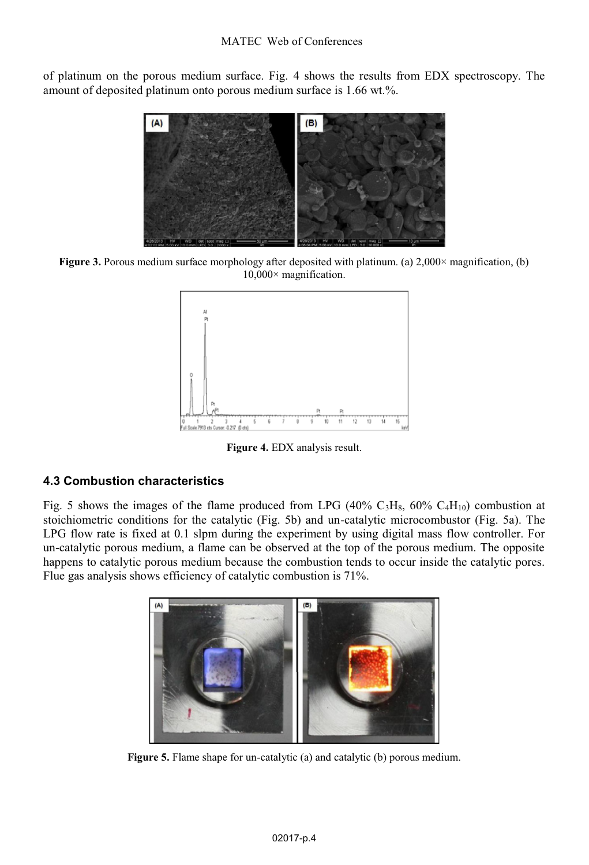of platinum on the porous medium surface. Fig. 4 shows the results from EDX spectroscopy. The amount of deposited platinum onto porous medium surface is 1.66 wt.%.



**Figure 3.** Porous medium surface morphology after deposited with platinum. (a) 2,000× magnification, (b) 10,000× magnification.



**Figure 4.** EDX analysis result.

#### **4.3 Combustion characteristics**

Fig. 5 shows the images of the flame produced from LPG (40%  $C_3H_8$ , 60%  $C_4H_{10}$ ) combustion at stoichiometric conditions for the catalytic (Fig. 5b) and un-catalytic microcombustor (Fig. 5a). The LPG flow rate is fixed at 0.1 slpm during the experiment by using digital mass flow controller. For un-catalytic porous medium, a flame can be observed at the top of the porous medium. The opposite happens to catalytic porous medium because the combustion tends to occur inside the catalytic pores. Flue gas analysis shows efficiency of catalytic combustion is 71%.



**Figure 5.** Flame shape for un-catalytic (a) and catalytic (b) porous medium.